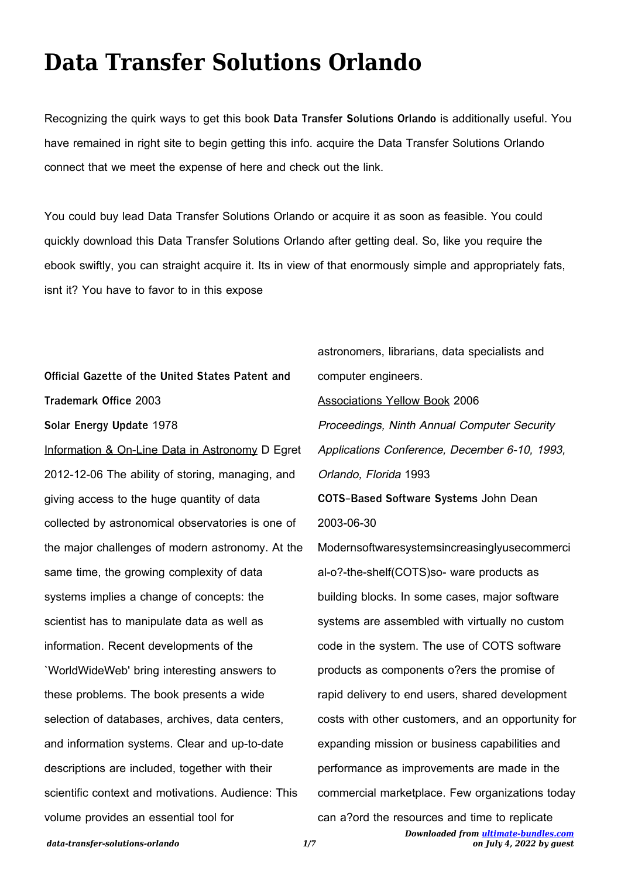## **Data Transfer Solutions Orlando**

Recognizing the quirk ways to get this book **Data Transfer Solutions Orlando** is additionally useful. You have remained in right site to begin getting this info. acquire the Data Transfer Solutions Orlando connect that we meet the expense of here and check out the link.

You could buy lead Data Transfer Solutions Orlando or acquire it as soon as feasible. You could quickly download this Data Transfer Solutions Orlando after getting deal. So, like you require the ebook swiftly, you can straight acquire it. Its in view of that enormously simple and appropriately fats, isnt it? You have to favor to in this expose

**Official Gazette of the United States Patent and Trademark Office** 2003 **Solar Energy Update** 1978 Information & On-Line Data in Astronomy D Egret 2012-12-06 The ability of storing, managing, and giving access to the huge quantity of data collected by astronomical observatories is one of the major challenges of modern astronomy. At the same time, the growing complexity of data systems implies a change of concepts: the scientist has to manipulate data as well as information. Recent developments of the `WorldWideWeb' bring interesting answers to these problems. The book presents a wide selection of databases, archives, data centers, and information systems. Clear and up-to-date descriptions are included, together with their scientific context and motivations. Audience: This volume provides an essential tool for

astronomers, librarians, data specialists and computer engineers. Associations Yellow Book 2006 Proceedings, Ninth Annual Computer Security Applications Conference, December 6-10, 1993, Orlando, Florida 1993 **COTS-Based Software Systems** John Dean 2003-06-30 Modernsoftwaresystemsincreasinglyusecommerci al-o?-the-shelf(COTS)so- ware products as building blocks. In some cases, major software systems are assembled with virtually no custom code in the system. The use of COTS software products as components o?ers the promise of rapid delivery to end users, shared development costs with other customers, and an opportunity for expanding mission or business capabilities and performance as improvements are made in the commercial marketplace. Few organizations today

can a?ord the resources and time to replicate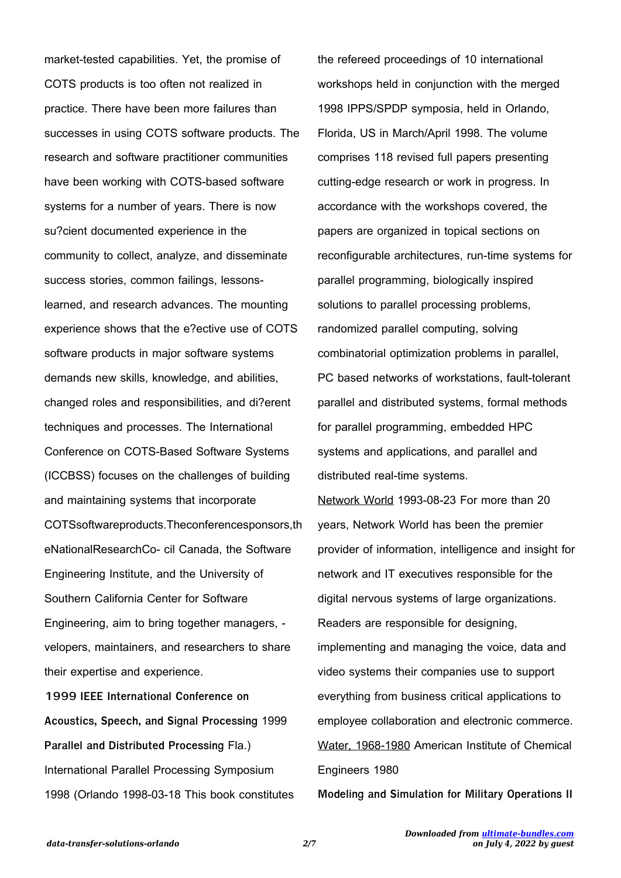market-tested capabilities. Yet, the promise of COTS products is too often not realized in practice. There have been more failures than successes in using COTS software products. The research and software practitioner communities have been working with COTS-based software systems for a number of years. There is now su?cient documented experience in the community to collect, analyze, and disseminate success stories, common failings, lessonslearned, and research advances. The mounting experience shows that the e?ective use of COTS software products in major software systems demands new skills, knowledge, and abilities, changed roles and responsibilities, and di?erent techniques and processes. The International Conference on COTS-Based Software Systems (ICCBSS) focuses on the challenges of building and maintaining systems that incorporate COTSsoftwareproducts.Theconferencesponsors,th eNationalResearchCo- cil Canada, the Software Engineering Institute, and the University of Southern California Center for Software Engineering, aim to bring together managers, velopers, maintainers, and researchers to share their expertise and experience. **1999 IEEE International Conference on**

**Acoustics, Speech, and Signal Processing** 1999 **Parallel and Distributed Processing** Fla.) International Parallel Processing Symposium 1998 (Orlando 1998-03-18 This book constitutes

the refereed proceedings of 10 international workshops held in conjunction with the merged 1998 IPPS/SPDP symposia, held in Orlando, Florida, US in March/April 1998. The volume comprises 118 revised full papers presenting cutting-edge research or work in progress. In accordance with the workshops covered, the papers are organized in topical sections on reconfigurable architectures, run-time systems for parallel programming, biologically inspired solutions to parallel processing problems, randomized parallel computing, solving combinatorial optimization problems in parallel, PC based networks of workstations, fault-tolerant parallel and distributed systems, formal methods for parallel programming, embedded HPC systems and applications, and parallel and distributed real-time systems.

Network World 1993-08-23 For more than 20 years, Network World has been the premier provider of information, intelligence and insight for network and IT executives responsible for the digital nervous systems of large organizations. Readers are responsible for designing, implementing and managing the voice, data and video systems their companies use to support everything from business critical applications to employee collaboration and electronic commerce. Water, 1968-1980 American Institute of Chemical Engineers 1980

**Modeling and Simulation for Military Operations II**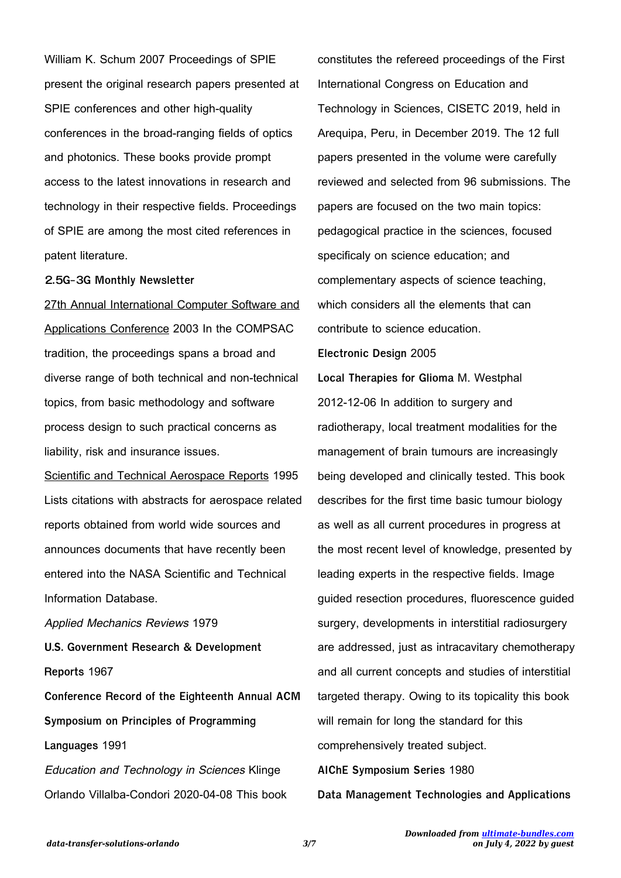William K. Schum 2007 Proceedings of SPIE present the original research papers presented at SPIE conferences and other high-quality conferences in the broad-ranging fields of optics and photonics. These books provide prompt access to the latest innovations in research and technology in their respective fields. Proceedings of SPIE are among the most cited references in patent literature.

## **2.5G-3G Monthly Newsletter**

27th Annual International Computer Software and Applications Conference 2003 In the COMPSAC tradition, the proceedings spans a broad and diverse range of both technical and non-technical topics, from basic methodology and software process design to such practical concerns as liability, risk and insurance issues.

Scientific and Technical Aerospace Reports 1995 Lists citations with abstracts for aerospace related reports obtained from world wide sources and announces documents that have recently been entered into the NASA Scientific and Technical Information Database.

Applied Mechanics Reviews 1979 **U.S. Government Research & Development Reports** 1967

**Conference Record of the Eighteenth Annual ACM Symposium on Principles of Programming Languages** 1991

Education and Technology in Sciences Klinge Orlando Villalba-Condori 2020-04-08 This book constitutes the refereed proceedings of the First International Congress on Education and Technology in Sciences, CISETC 2019, held in Arequipa, Peru, in December 2019. The 12 full papers presented in the volume were carefully reviewed and selected from 96 submissions. The papers are focused on the two main topics: pedagogical practice in the sciences, focused specificaly on science education; and complementary aspects of science teaching, which considers all the elements that can contribute to science education. **Electronic Design** 2005 **Local Therapies for Glioma** M. Westphal 2012-12-06 In addition to surgery and radiotherapy, local treatment modalities for the management of brain tumours are increasingly being developed and clinically tested. This book describes for the first time basic tumour biology as well as all current procedures in progress at the most recent level of knowledge, presented by leading experts in the respective fields. Image guided resection procedures, fluorescence guided surgery, developments in interstitial radiosurgery are addressed, just as intracavitary chemotherapy and all current concepts and studies of interstitial targeted therapy. Owing to its topicality this book will remain for long the standard for this comprehensively treated subject.

**AIChE Symposium Series** 1980

**Data Management Technologies and Applications**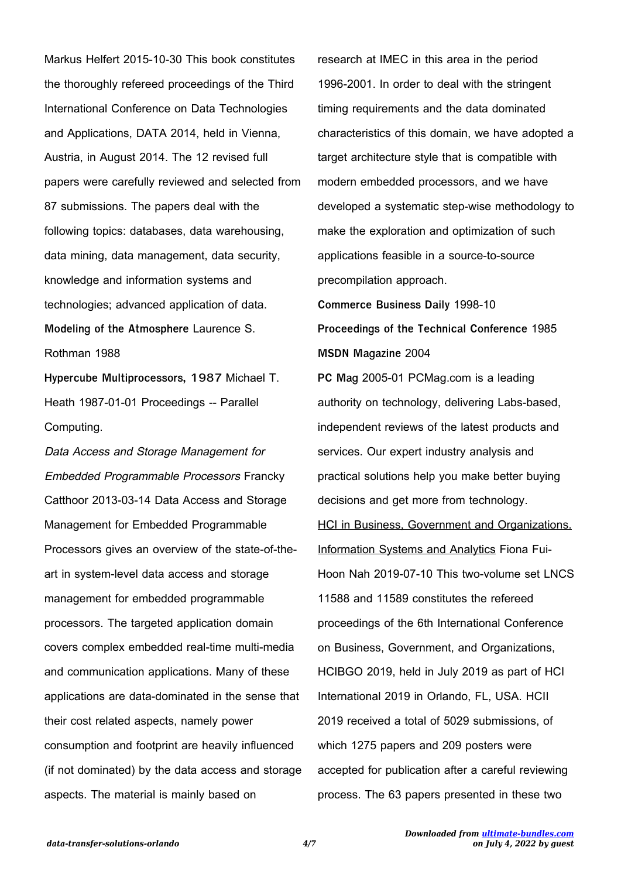Markus Helfert 2015-10-30 This book constitutes the thoroughly refereed proceedings of the Third International Conference on Data Technologies and Applications, DATA 2014, held in Vienna, Austria, in August 2014. The 12 revised full papers were carefully reviewed and selected from 87 submissions. The papers deal with the following topics: databases, data warehousing, data mining, data management, data security, knowledge and information systems and technologies; advanced application of data. **Modeling of the Atmosphere** Laurence S. Rothman 1988

**Hypercube Multiprocessors, 1987** Michael T. Heath 1987-01-01 Proceedings -- Parallel Computing.

Data Access and Storage Management for Embedded Programmable Processors Francky Catthoor 2013-03-14 Data Access and Storage Management for Embedded Programmable Processors gives an overview of the state-of-theart in system-level data access and storage management for embedded programmable processors. The targeted application domain covers complex embedded real-time multi-media and communication applications. Many of these applications are data-dominated in the sense that their cost related aspects, namely power consumption and footprint are heavily influenced (if not dominated) by the data access and storage aspects. The material is mainly based on

research at IMEC in this area in the period 1996-2001. In order to deal with the stringent timing requirements and the data dominated characteristics of this domain, we have adopted a target architecture style that is compatible with modern embedded processors, and we have developed a systematic step-wise methodology to make the exploration and optimization of such applications feasible in a source-to-source precompilation approach.

**Commerce Business Daily** 1998-10 **Proceedings of the Technical Conference** 1985 **MSDN Magazine** 2004

**PC Mag** 2005-01 PCMag.com is a leading authority on technology, delivering Labs-based, independent reviews of the latest products and services. Our expert industry analysis and practical solutions help you make better buying decisions and get more from technology. **HCI in Business, Government and Organizations.** Information Systems and Analytics Fiona Fui-Hoon Nah 2019-07-10 This two-volume set LNCS 11588 and 11589 constitutes the refereed proceedings of the 6th International Conference on Business, Government, and Organizations, HCIBGO 2019, held in July 2019 as part of HCI International 2019 in Orlando, FL, USA. HCII 2019 received a total of 5029 submissions, of which 1275 papers and 209 posters were accepted for publication after a careful reviewing process. The 63 papers presented in these two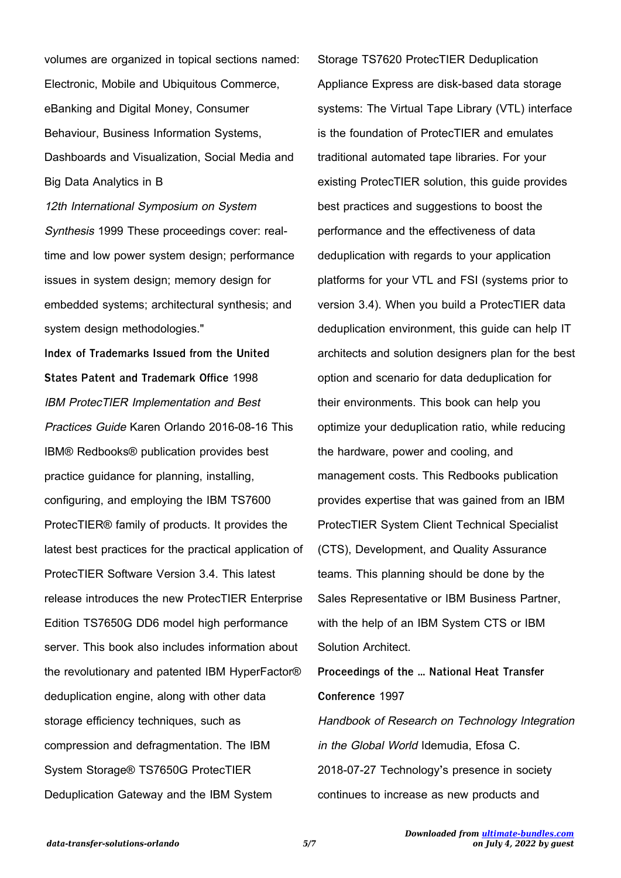volumes are organized in topical sections named: Electronic, Mobile and Ubiquitous Commerce, eBanking and Digital Money, Consumer Behaviour, Business Information Systems, Dashboards and Visualization, Social Media and Big Data Analytics in B

12th International Symposium on System Synthesis 1999 These proceedings cover: realtime and low power system design; performance issues in system design; memory design for embedded systems; architectural synthesis; and system design methodologies."

**Index of Trademarks Issued from the United States Patent and Trademark Office** 1998 IBM ProtecTIER Implementation and Best Practices Guide Karen Orlando 2016-08-16 This IBM® Redbooks® publication provides best practice guidance for planning, installing, configuring, and employing the IBM TS7600 ProtecTIER® family of products. It provides the latest best practices for the practical application of ProtecTIER Software Version 3.4. This latest release introduces the new ProtecTIER Enterprise Edition TS7650G DD6 model high performance server. This book also includes information about the revolutionary and patented IBM HyperFactor® deduplication engine, along with other data storage efficiency techniques, such as compression and defragmentation. The IBM System Storage® TS7650G ProtecTIER Deduplication Gateway and the IBM System

Storage TS7620 ProtecTIER Deduplication Appliance Express are disk-based data storage systems: The Virtual Tape Library (VTL) interface is the foundation of ProtecTIER and emulates traditional automated tape libraries. For your existing ProtecTIER solution, this guide provides best practices and suggestions to boost the performance and the effectiveness of data deduplication with regards to your application platforms for your VTL and FSI (systems prior to version 3.4). When you build a ProtecTIER data deduplication environment, this guide can help IT architects and solution designers plan for the best option and scenario for data deduplication for their environments. This book can help you optimize your deduplication ratio, while reducing the hardware, power and cooling, and management costs. This Redbooks publication provides expertise that was gained from an IBM ProtecTIER System Client Technical Specialist (CTS), Development, and Quality Assurance teams. This planning should be done by the Sales Representative or IBM Business Partner, with the help of an IBM System CTS or IBM Solution Architect.

**Proceedings of the ... National Heat Transfer Conference** 1997 Handbook of Research on Technology Integration in the Global World Idemudia, Efosa C. 2018-07-27 Technology's presence in society continues to increase as new products and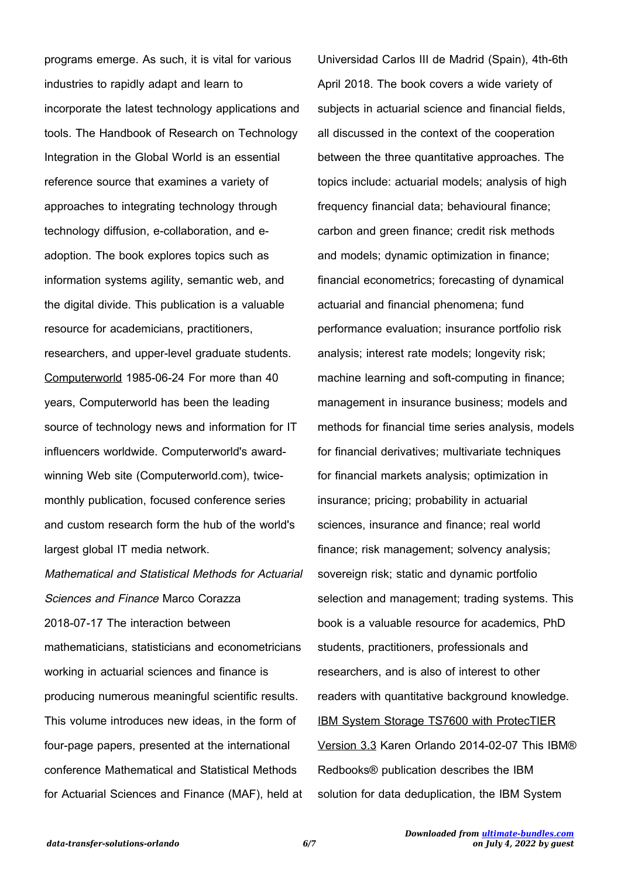programs emerge. As such, it is vital for various industries to rapidly adapt and learn to incorporate the latest technology applications and tools. The Handbook of Research on Technology Integration in the Global World is an essential reference source that examines a variety of approaches to integrating technology through technology diffusion, e-collaboration, and eadoption. The book explores topics such as information systems agility, semantic web, and the digital divide. This publication is a valuable resource for academicians, practitioners, researchers, and upper-level graduate students. Computerworld 1985-06-24 For more than 40 years, Computerworld has been the leading source of technology news and information for IT influencers worldwide. Computerworld's awardwinning Web site (Computerworld.com), twicemonthly publication, focused conference series and custom research form the hub of the world's largest global IT media network.

Mathematical and Statistical Methods for Actuarial Sciences and Finance Marco Corazza 2018-07-17 The interaction between mathematicians, statisticians and econometricians working in actuarial sciences and finance is producing numerous meaningful scientific results. This volume introduces new ideas, in the form of four-page papers, presented at the international conference Mathematical and Statistical Methods for Actuarial Sciences and Finance (MAF), held at

Universidad Carlos III de Madrid (Spain), 4th-6th April 2018. The book covers a wide variety of subjects in actuarial science and financial fields, all discussed in the context of the cooperation between the three quantitative approaches. The topics include: actuarial models; analysis of high frequency financial data; behavioural finance; carbon and green finance; credit risk methods and models; dynamic optimization in finance; financial econometrics; forecasting of dynamical actuarial and financial phenomena; fund performance evaluation; insurance portfolio risk analysis; interest rate models; longevity risk; machine learning and soft-computing in finance; management in insurance business; models and methods for financial time series analysis, models for financial derivatives; multivariate techniques for financial markets analysis; optimization in insurance; pricing; probability in actuarial sciences, insurance and finance; real world finance; risk management; solvency analysis; sovereign risk; static and dynamic portfolio selection and management; trading systems. This book is a valuable resource for academics, PhD students, practitioners, professionals and researchers, and is also of interest to other readers with quantitative background knowledge. IBM System Storage TS7600 with ProtecTIER Version 3.3 Karen Orlando 2014-02-07 This IBM® Redbooks® publication describes the IBM solution for data deduplication, the IBM System